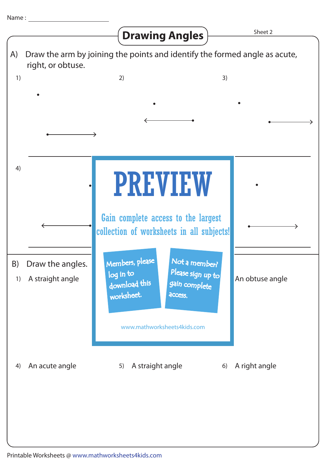